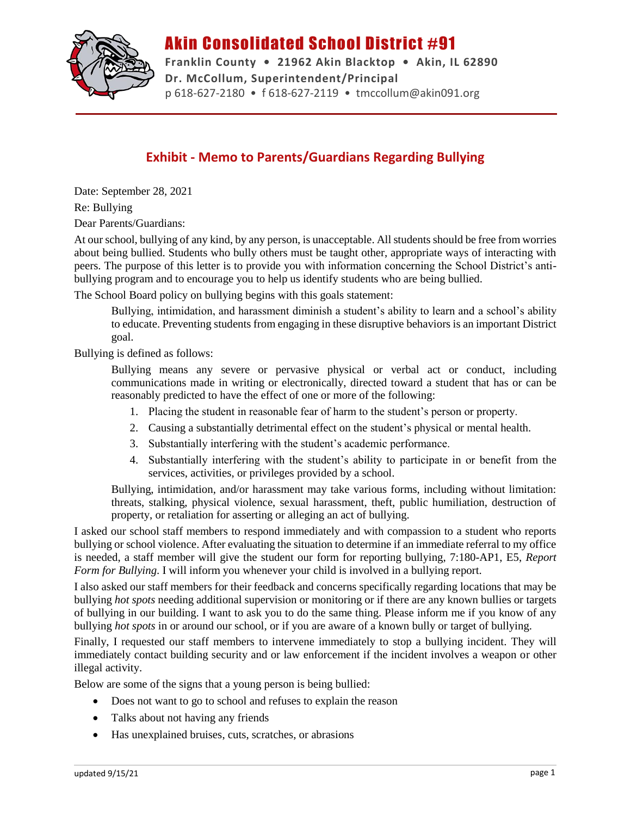

## Akin Consolidated School District #91

**Franklin County • 21962 Akin Blacktop • Akin, IL 62890 Dr. McCollum, Superintendent/Principal** p 618-627-2180 • f 618-627-2119 • tmccollum@akin091.org

## **Exhibit - Memo to Parents/Guardians Regarding Bullying**

Date: September 28, 2021 Re: Bullying

Dear Parents/Guardians:

At our school, bullying of any kind, by any person, is unacceptable. All students should be free from worries about being bullied. Students who bully others must be taught other, appropriate ways of interacting with peers. The purpose of this letter is to provide you with information concerning the School District's antibullying program and to encourage you to help us identify students who are being bullied.

The School Board policy on bullying begins with this goals statement:

Bullying, intimidation, and harassment diminish a student's ability to learn and a school's ability to educate. Preventing students from engaging in these disruptive behaviors is an important District goal.

Bullying is defined as follows:

Bullying means any severe or pervasive physical or verbal act or conduct, including communications made in writing or electronically, directed toward a student that has or can be reasonably predicted to have the effect of one or more of the following:

- 1. Placing the student in reasonable fear of harm to the student's person or property.
- 2. Causing a substantially detrimental effect on the student's physical or mental health.
- 3. Substantially interfering with the student's academic performance.
- 4. Substantially interfering with the student's ability to participate in or benefit from the services, activities, or privileges provided by a school.

Bullying, intimidation, and/or harassment may take various forms, including without limitation: threats, stalking, physical violence, sexual harassment, theft, public humiliation, destruction of property, or retaliation for asserting or alleging an act of bullying.

I asked our school staff members to respond immediately and with compassion to a student who reports bullying or school violence. After evaluating the situation to determine if an immediate referral to my office is needed, a staff member will give the student our form for reporting bullying, 7:180-AP1, E5, *Report Form for Bullying*. I will inform you whenever your child is involved in a bullying report.

I also asked our staff members for their feedback and concerns specifically regarding locations that may be bullying *hot spots* needing additional supervision or monitoring or if there are any known bullies or targets of bullying in our building. I want to ask you to do the same thing. Please inform me if you know of any bullying *hot spots* in or around our school, or if you are aware of a known bully or target of bullying.

Finally, I requested our staff members to intervene immediately to stop a bullying incident. They will immediately contact building security and or law enforcement if the incident involves a weapon or other illegal activity.

Below are some of the signs that a young person is being bullied:

- Does not want to go to school and refuses to explain the reason
- Talks about not having any friends
- Has unexplained bruises, cuts, scratches, or abrasions